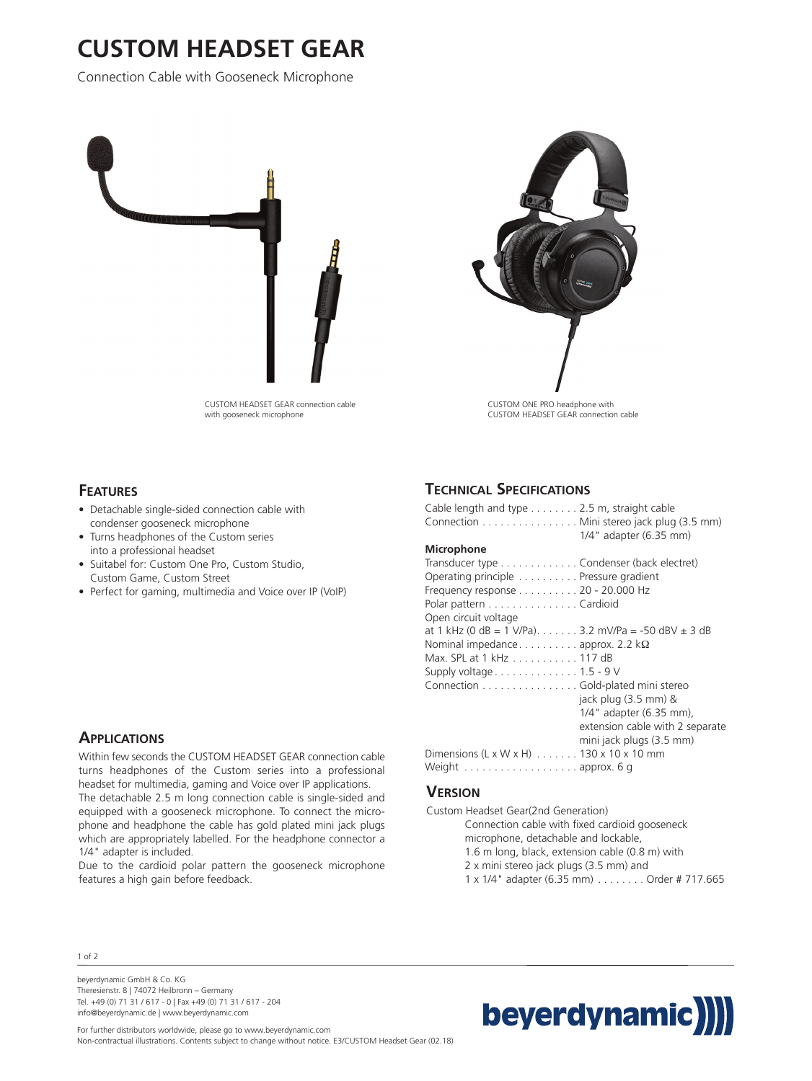# **CUSTOM HEADSET GEAR**

Connection Cable with Gooseneck Microphone





## **FEATURES**

- Detachable single-sided connection cable with condenser gooseneck microphone
- Turns headphones of the Custom series into a professional headset
- Suitabel for: Custom One Pro, Custom Studio, Custom Game, Custom Street
- Perfect for gaming, multimedia and Voice over IP (VoIP)

### **APPLICATIONS**

Within few seconds the CUSTOM HEADSET GEAR connection cable turns headphones of the Custom series into a professional headset for multimedia, gaming and Voice over IP applications.

The detachable 2.5 m long connection cable is single-sided and equipped with a gooseneck microphone. To connect the microphone and headphone the cable has gold plated mini jack plugs which are appropriately labelled. For the headphone connector a 1/4" adapter is included.

Due to the cardioid polar pattern the gooseneck microphone features a high gain before feedback.

### **TECHNICAL SPECIFICATIONS**

| Cable length and type 2.5 m, straight cable<br>Connection Mini stereo jack plug (3.5 mm) |                                 |
|------------------------------------------------------------------------------------------|---------------------------------|
|                                                                                          | 1/4" adapter (6.35 mm)          |
| Microphone                                                                               |                                 |
| Transducer type Condenser (back electret)                                                |                                 |
| Operating principle Pressure gradient                                                    |                                 |
| Frequency response 20 - 20.000 Hz                                                        |                                 |
| Polar pattern Cardioid                                                                   |                                 |
| Open circuit voltage                                                                     |                                 |
| at 1 kHz (0 dB = 1 V/Pa) 3.2 mV/Pa = -50 dBV $\pm$ 3 dB                                  |                                 |
| Nominal impedance approx. 2.2 $k\Omega$                                                  |                                 |
| Max. SPL at 1 kHz 117 dB                                                                 |                                 |
| Supply voltage $\dots \dots \dots \dots \dots 1.5 - 9$ V                                 |                                 |
| Connection Gold-plated mini stereo                                                       |                                 |
|                                                                                          | jack plug (3.5 mm) &            |
|                                                                                          | 1/4" adapter (6.35 mm),         |
|                                                                                          | extension cable with 2 separate |
|                                                                                          | mini jack plugs (3.5 mm)        |
| Dimensions $(L \times W \times H)$ 130 x 10 x 10 mm                                      |                                 |
| Weight $\dots\dots\dots\dots\dots\dots\dots$                                             |                                 |

#### **VERSION**

Custom Headset Gear(2nd Generation) Connection cable with fixed cardioid gooseneck microphone, detachable and lockable, 1.6 m long, black, extension cable (0.8 m) with 2 x mini stereo jack plugs (3.5 mm) and 1 x 1/4" adapter (6.35 mm) . . . . . . . . Order # 717.665

1 of 2

beyerdynamic GmbH & Co. KG Theresienstr. 8 | 74072 Heilbronn – Germany Tel. +49 (0) 71 31 / 617 - 0 | Fax +49 (0) 71 31 / 617 - 204 info@beyerdynamic.de | www.beyerdynamic.com



For further distributors worldwide, please go to www.beyerdynamic.com Non-contractual illustrations. Contents subject to change without notice. E3/CUSTOM Headset Gear (02.18)